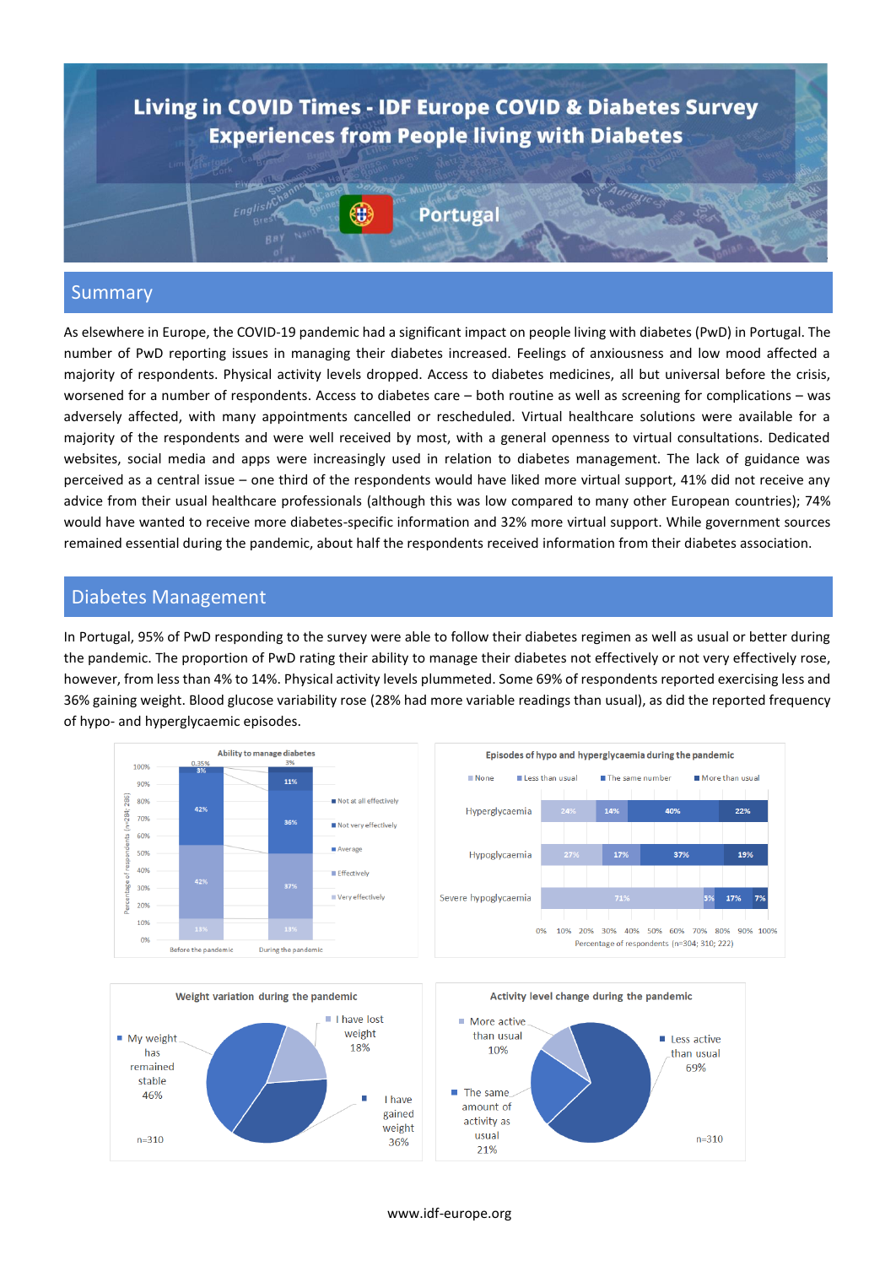

#### Summary

As elsewhere in Europe, the COVID-19 pandemic had a significant impact on people living with diabetes (PwD) in Portugal. The number of PwD reporting issues in managing their diabetes increased. Feelings of anxiousness and low mood affected a majority of respondents. Physical activity levels dropped. Access to diabetes medicines, all but universal before the crisis, worsened for a number of respondents. Access to diabetes care – both routine as well as screening for complications – was adversely affected, with many appointments cancelled or rescheduled. Virtual healthcare solutions were available for a majority of the respondents and were well received by most, with a general openness to virtual consultations. Dedicated websites, social media and apps were increasingly used in relation to diabetes management. The lack of guidance was perceived as a central issue – one third of the respondents would have liked more virtual support, 41% did not receive any advice from their usual healthcare professionals (although this was low compared to many other European countries); 74% would have wanted to receive more diabetes-specific information and 32% more virtual support. While government sources remained essential during the pandemic, about half the respondents received information from their diabetes association.

#### Diabetes Management

In Portugal, 95% of PwD responding to the survey were able to follow their diabetes regimen as well as usual or better during the pandemic. The proportion of PwD rating their ability to manage their diabetes not effectively or not very effectively rose, however, from less than 4% to 14%. Physical activity levels plummeted. Some 69% of respondents reported exercising less and 36% gaining weight. Blood glucose variability rose (28% had more variable readings than usual), as did the reported frequency of hypo- and hyperglycaemic episodes.



#### www.idf-europe.org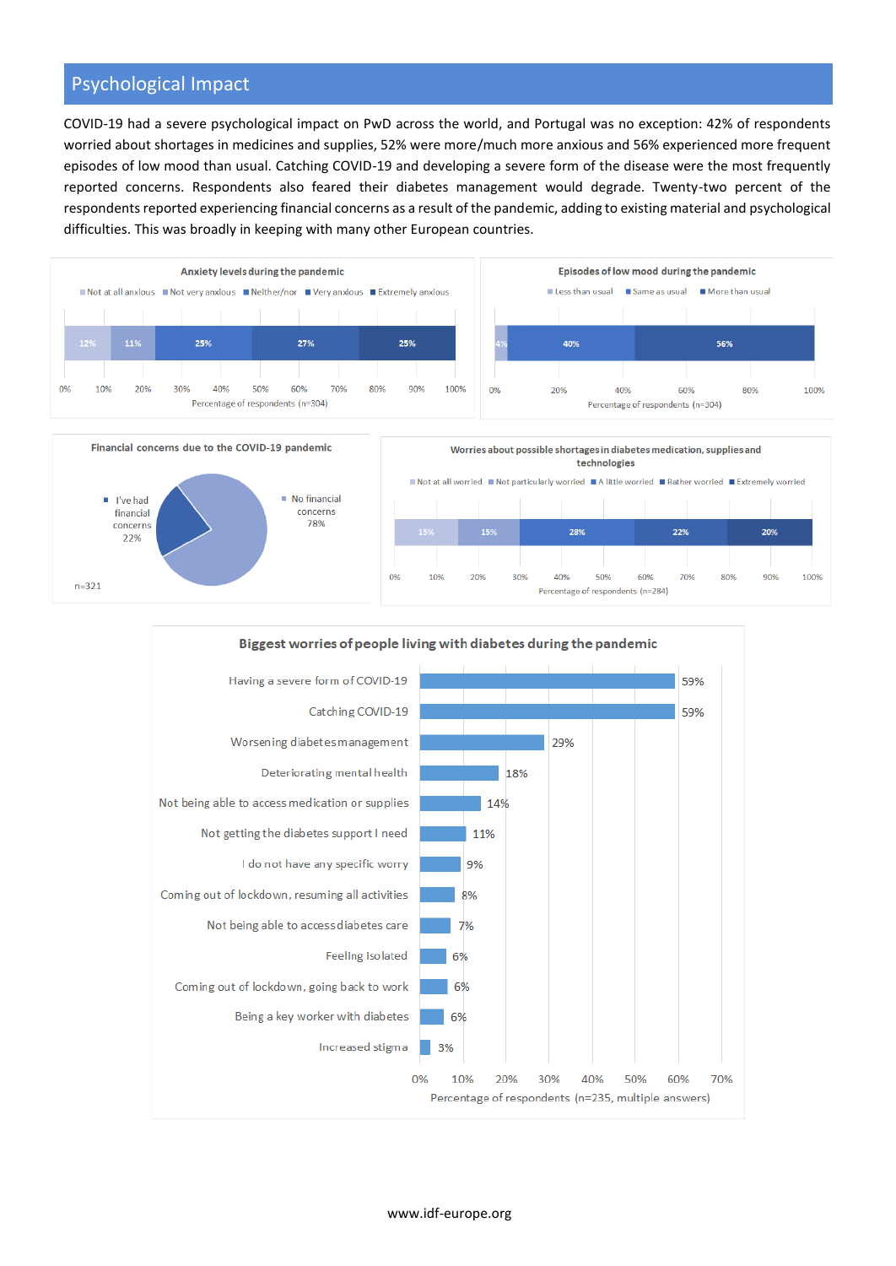### Psychological Impact

COVID-19 had a severe psychological impact on PwD across the world, and Portugal was no exception: 42% of respondents worried about shortages in medicines and supplies, 52% were more/much more anxious and 56% experienced more frequent episodes of low mood than usual. Catching COVID-19 and developing a severe form of the disease were the most frequently reported concerns. Respondents also feared their diabetes management would degrade. Twenty-two percent of the respondents reported experiencing financial concerns as a result of the pandemic, adding to existing material and psychological difficulties. This was broadly in keeping with many other European countries.









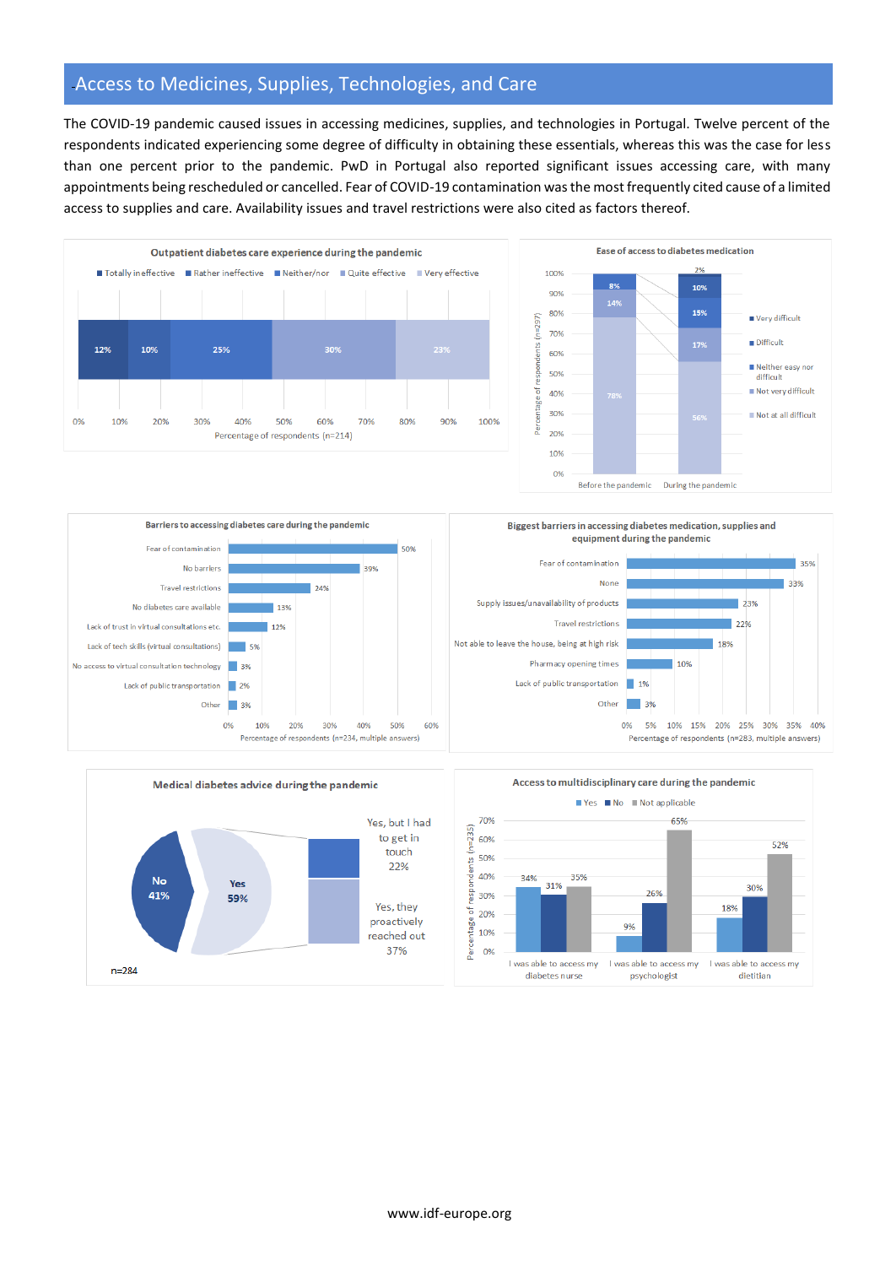# Access to Medicines, Supplies, Technologies, and Care

The COVID-19 pandemic caused issues in accessing medicines, supplies, and technologies in Portugal. Twelve percent of the respondents indicated experiencing some degree of difficulty in obtaining these essentials, whereas this was the case for less than one percent prior to the pandemic. PwD in Portugal also reported significant issues accessing care, with many appointments being rescheduled or cancelled. Fear of COVID-19 contamination was the most frequently cited cause of a limited access to supplies and care. Availability issues and travel restrictions were also cited as factors thereof.









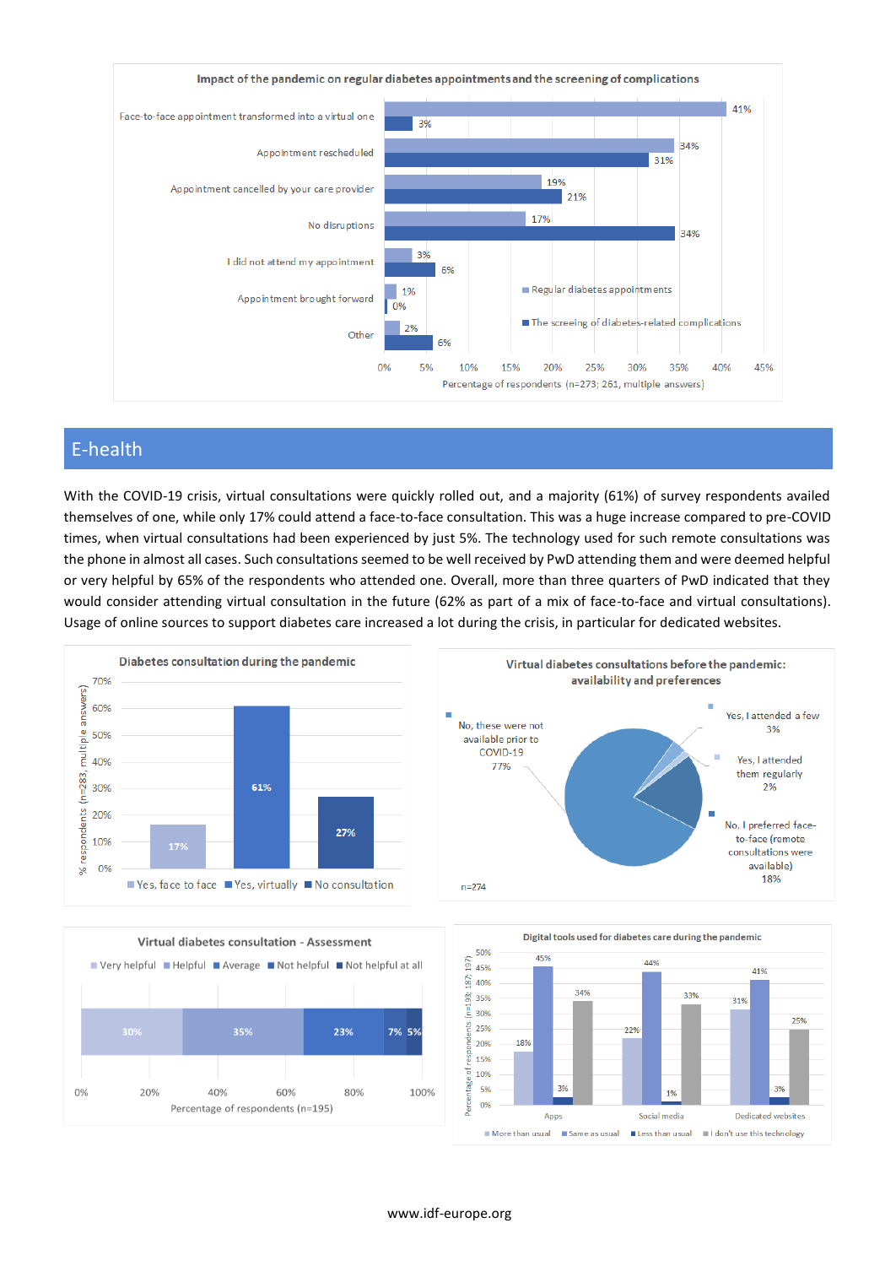

## E-health

With the COVID-19 crisis, virtual consultations were quickly rolled out, and a majority (61%) of survey respondents availed themselves of one, while only 17% could attend a face-to-face consultation. This was a huge increase compared to pre-COVID times, when virtual consultations had been experienced by just 5%. The technology used for such remote consultations was the phone in almost all cases. Such consultations seemed to be well received by PwD attending them and were deemed helpful or very helpful by 65% of the respondents who attended one. Overall, more than three quarters of PwD indicated that they would consider attending virtual consultation in the future (62% as part of a mix of face-to-face and virtual consultations). Usage of online sources to support diabetes care increased a lot during the crisis, in particular for dedicated websites.